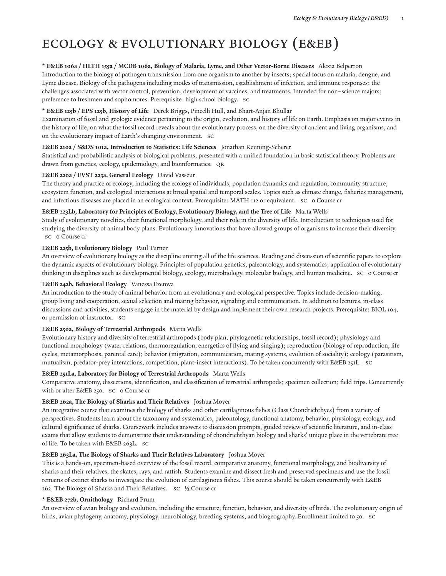# Ecology & Evolutionary Biology (E&EB)

#### \* E&EB 106a / HLTH 155a / MCDB 106a, Biology of Malaria, Lyme, and Other Vector-Borne Diseases Alexia Belperron

Introduction to the biology of pathogen transmission from one organism to another by insects; special focus on malaria, dengue, and Lyme disease. Biology of the pathogens including modes of transmission, establishment of infection, and immune responses; the challenges associated with vector control, prevention, development of vaccines, and treatments. Intended for non–science majors; preference to freshmen and sophomores. Prerequisite: high school biology. SC

#### **\* E&EB 125b / EPS 125b, History of Life** Derek Briggs, Pincelli Hull, and Bhart-Anjan Bhullar

Examination of fossil and geologic evidence pertaining to the origin, evolution, and history of life on Earth. Emphasis on major events in the history of life, on what the fossil record reveals about the evolutionary process, on the diversity of ancient and living organisms, and on the evolutionary impact of Earth's changing environment. SC

# **E&EB 210a / S&DS 101a, Introduction to Statistics: Life Sciences** Jonathan Reuning-Scherer

Statistical and probabilistic analysis of biological problems, presented with a unified foundation in basic statistical theory. Problems are drawn from genetics, ecology, epidemiology, and bioinformatics. QR

#### **E&EB 220a / EVST 223a, General Ecology** David Vasseur

The theory and practice of ecology, including the ecology of individuals, population dynamics and regulation, community structure, ecosystem function, and ecological interactions at broad spatial and temporal scales. Topics such as climate change, fisheries management, and infectious diseases are placed in an ecological context. Prerequisite: MATH 112 or equivalent. SC 0 Course cr

# **E&EB 223Lb, Laboratory for Principles of Ecology, Evolutionary Biology, and the Tree of Life** Marta Wells

Study of evolutionary novelties, their functional morphology, and their role in the diversity of life. Introduction to techniques used for studying the diversity of animal body plans. Evolutionary innovations that have allowed groups of organisms to increase their diversity. sc o Course cr

# **E&EB 225b, Evolutionary Biology** Paul Turner

An overview of evolutionary biology as the discipline uniting all of the life sciences. Reading and discussion of scientific papers to explore the dynamic aspects of evolutionary biology. Principles of population genetics, paleontology, and systematics; application of evolutionary thinking in disciplines such as developmental biology, ecology, microbiology, molecular biology, and human medicine. SC 0 Course cr

# **E&EB 242b, Behavioral Ecology** Vanessa Ezenwa

An introduction to the study of animal behavior from an evolutionary and ecological perspective. Topics include decision-making, group living and cooperation, sexual selection and mating behavior, signaling and communication. In addition to lectures, in-class discussions and activities, students engage in the material by design and implement their own research projects. Prerequisite: BIOL 104, or permission of instructor. SC

# **E&EB 250a, Biology of Terrestrial Arthropods** Marta Wells

Evolutionary history and diversity of terrestrial arthropods (body plan, phylogenetic relationships, fossil record); physiology and functional morphology (water relations, thermoregulation, energetics of flying and singing); reproduction (biology of reproduction, life cycles, metamorphosis, parental care); behavior (migration, communication, mating systems, evolution of sociality); ecology (parasitism, mutualism, predator-prey interactions, competition, plant-insect interactions). To be taken concurrently with E&EB 251L. SC

# **E&EB 251La, Laboratory for Biology of Terrestrial Arthropods** Marta Wells

Comparative anatomy, dissections, identification, and classification of terrestrial arthropods; specimen collection; field trips. Concurrently with or after E&EB 250. SC o Course cr

# **E&EB 262a, The Biology of Sharks and Their Relatives** Joshua Moyer

An integrative course that examines the biology of sharks and other cartilaginous fishes (Class Chondrichthyes) from a variety of perspectives. Students learn about the taxonomy and systematics, paleontology, functional anatomy, behavior, physiology, ecology, and cultural significance of sharks. Coursework includes answers to discussion prompts, guided review of scientific literature, and in-class exams that allow students to demonstrate their understanding of chondrichthyan biology and sharks' unique place in the vertebrate tree of life. To be taken with E&EB 263L. SC

#### **E&EB 263La, The Biology of Sharks and Their Relatives Laboratory** Joshua Moyer

This is a hands-on, specimen-based overview of the fossil record, comparative anatomy, functional morphology, and biodiversity of sharks and their relatives, the skates, rays, and ratfish. Students examine and dissect fresh and preserved specimens and use the fossil remains of extinct sharks to investigate the evolution of cartilaginous fishes. This course should be taken concurrently with E&EB 262, The Biology of Sharks and Their Relatives. SC ½ Course cr

#### **\* E&EB 272b, Ornithology** Richard Prum

An overview of avian biology and evolution, including the structure, function, behavior, and diversity of birds. The evolutionary origin of birds, avian phylogeny, anatomy, physiology, neurobiology, breeding systems, and biogeography. Enrollment limited to 50. SC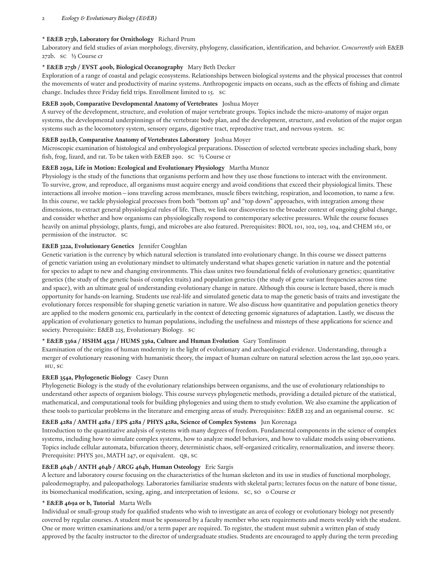#### 2 *Ecology & Evolutionary Biology (E&EB)*

#### **\* E&EB 273b, Laboratory for Ornithology** Richard Prum

Laboratory and field studies of avian morphology, diversity, phylogeny, classification, identification, and behavior. *Concurrently with* E&EB 272b. SC ½ Course cr

# **\* E&EB 275b / EVST 400b, Biological Oceanography** Mary Beth Decker

Exploration of a range of coastal and pelagic ecosystems. Relationships between biological systems and the physical processes that control the movements of water and productivity of marine systems. Anthropogenic impacts on oceans, such as the effects of fishing and climate change. Includes three Friday field trips. Enrollment limited to 15. SC

#### **E&EB 290b, Comparative Developmental Anatomy of Vertebrates** Joshua Moyer

A survey of the development, structure, and evolution of major vertebrate groups. Topics include the micro-anatomy of major organ systems, the developmental underpinnings of the vertebrate body plan, and the development, structure, and evolution of the major organ systems such as the locomotory system, sensory organs, digestive tract, reproductive tract, and nervous system. SC

#### **E&EB 291Lb, Comparative Anatomy of Vertebrates Laboratory** Joshua Moyer

Microscopic examination of histological and embryological preparations. Dissection of selected vertebrate species including shark, bony fish, frog, lizard, and rat. To be taken with E&EB 290. SC ½ Course cr

#### **E&EB 295a, Life in Motion: Ecological and Evolutionary Physiology** Martha Munoz

Physiology is the study of the functions that organisms perform and how they use those functions to interact with the environment. To survive, grow, and reproduce, all organisms must acquire energy and avoid conditions that exceed their physiological limits. These interactions all involve motion—ions traveling across membranes, muscle fibers twitching, respiration, and locomotion, to name a few. In this course, we tackle physiological processes from both "bottom up" and "top down" approaches, with integration among these dimensions, to extract general physiological rules of life. Then, we link our discoveries to the broader context of ongoing global change, and consider whether and how organisms can physiologically respond to contemporary selective pressures. While the course focuses heavily on animal physiology, plants, fungi, and microbes are also featured. Prerequisites: BIOL 101, 102, 103, 104, and CHEM 161, or permission of the instructor. SC

# **E&EB 322a, Evolutionary Genetics** Jennifer Coughlan

Genetic variation is the currency by which natural selection is translated into evolutionary change. In this course we dissect patterns of genetic variation using an evolutionary mindset to ultimately understand what shapes genetic variation in nature and the potential for species to adapt to new and changing environments. This class unites two foundational fields of evolutionary genetics; quantitative genetics (the study of the genetic basis of complex traits) and population genetics (the study of gene variant frequencies across time and space), with an ultimate goal of understanding evolutionary change in nature. Although this course is lecture based, there is much opportunity for hands-on learning. Students use real-life and simulated genetic data to map the genetic basis of traits and investigate the evolutionary forces responsible for shaping genetic variation in nature. We also discuss how quantitative and population genetics theory are applied to the modern genomic era, particularly in the context of detecting genomic signatures of adaptation. Lastly, we discuss the application of evolutionary genetics to human populations, including the usefulness and missteps of these applications for science and society. Prerequisite: E&EB 225, Evolutionary Biology. SC

#### **\* E&EB 336a / HSHM 453a / HUMS 336a, Culture and Human Evolution** Gary Tomlinson

Examination of the origins of human modernity in the light of evolutionary and archaeological evidence. Understanding, through a merger of evolutionary reasoning with humanistic theory, the impact of human culture on natural selection across the last 250,000 years. HU, SC

#### **E&EB 354a, Phylogenetic Biology** Casey Dunn

Phylogenetic Biology is the study of the evolutionary relationships between organisms, and the use of evolutionary relationships to understand other aspects of organism biology. This course surveys phylogenetic methods, providing a detailed picture of the statistical, mathematical, and computational tools for building phylogenies and using them to study evolution. We also examine the application of these tools to particular problems in the literature and emerging areas of study. Prerequisites: E&EB 225 and an organismal course. SC

# **E&EB 428a / AMTH 428a / EPS 428a / PHYS 428a, Science of Complex Systems** Jun Korenaga

Introduction to the quantitative analysis of systems with many degrees of freedom. Fundamental components in the science of complex systems, including how to simulate complex systems, how to analyze model behaviors, and how to validate models using observations. Topics include cellular automata, bifurcation theory, deterministic chaos, self-organized criticality, renormalization, and inverse theory. Prerequisite: PHYS 301, MATH 247, or equivalent. QR, SC

# **E&EB 464b / ANTH 464b / ARCG 464b, Human Osteology** Eric Sargis

A lecture and laboratory course focusing on the characteristics of the human skeleton and its use in studies of functional morphology, paleodemography, and paleopathology. Laboratories familiarize students with skeletal parts; lectures focus on the nature of bone tissue, its biomechanical modification, sexing, aging, and interpretation of lesions. SC, SO 0 Course cr

#### **\* E&EB 469a or b, Tutorial** Marta Wells

Individual or small-group study for qualified students who wish to investigate an area of ecology or evolutionary biology not presently covered by regular courses. A student must be sponsored by a faculty member who sets requirements and meets weekly with the student. One or more written examinations and/or a term paper are required. To register, the student must submit a written plan of study approved by the faculty instructor to the director of undergraduate studies. Students are encouraged to apply during the term preceding